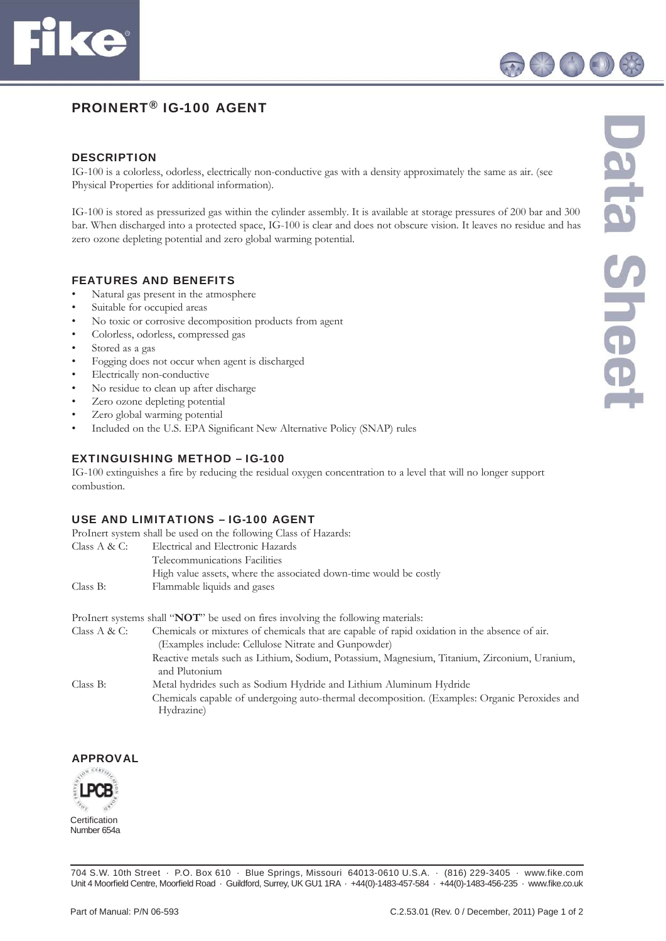

# PROINERT® IG-100 AGENT

#### **DESCRIPTION**

IG-100 is a colorless, odorless, electrically non-conductive gas with a density approximately the same as air. (see Physical Properties for additional information).

IG-100 is stored as pressurized gas within the cylinder assembly. It is available at storage pressures of 200 bar and 300 bar. When discharged into a protected space, IG-100 is clear and does not obscure vision. It leaves no residue and has zero ozone depleting potential and zero global warming potential.

#### FEATURES AND BENEFITS

- Natural gas present in the atmosphere
- Suitable for occupied areas
- No toxic or corrosive decomposition products from agent
- Colorless, odorless, compressed gas
- Stored as a gas
- Fogging does not occur when agent is discharged
- Electrically non-conductive
- No residue to clean up after discharge
- Zero ozone depleting potential
- Zero global warming potential
- Included on the U.S. EPA Significant New Alternative Policy (SNAP) rules

## EXTINGUISHING METHOD – IG-100

IG-100 extinguishes a fire by reducing the residual oxygen concentration to a level that will no longer support combustion.

## USE AND LIMITATIONS – IG-100 AGENT

| ProInert system shall be used on the following Class of Hazards: |                                                                   |  |  |
|------------------------------------------------------------------|-------------------------------------------------------------------|--|--|
| Class $A & C:$                                                   | Electrical and Electronic Hazards                                 |  |  |
|                                                                  | Telecommunications Facilities                                     |  |  |
|                                                                  | High value assets, where the associated down-time would be costly |  |  |
| Class B:                                                         | Flammable liquids and gases                                       |  |  |
|                                                                  |                                                                   |  |  |

ProInert systems shall "**NOT**" be used on fires involving the following materials:

| Class $A & C$ : | Chemicals or mixtures of chemicals that are capable of rapid oxidation in the absence of air. |  |
|-----------------|-----------------------------------------------------------------------------------------------|--|
|                 | (Examples include: Cellulose Nitrate and Gunpowder)                                           |  |
|                 | Reactive metals such as Lithium, Sodium, Potassium, Magnesium, Titanium, Zirconium, Uranium,  |  |
|                 | and Plutonium                                                                                 |  |
| Class B:        | Metal hydrides such as Sodium Hydride and Lithium Aluminum Hydride                            |  |
|                 | Chemicals capable of undergoing auto-thermal decomposition. (Examples: Organic Peroxides and  |  |
|                 | Hydrazine)                                                                                    |  |

## APPROVAL



704 S.W. 10th Street · P.O. Box 610 · Blue Springs, Missouri 64013-0610 U.S.A. · (816) 229-3405 · www.fike.com Unit 4 Moorfield Centre, Moorfield Road · Guildford, Surrey, UK GU1 1RA · +44(0)-1483-457-584 · +44(0)-1483-456-235 · www.fike.co.uk